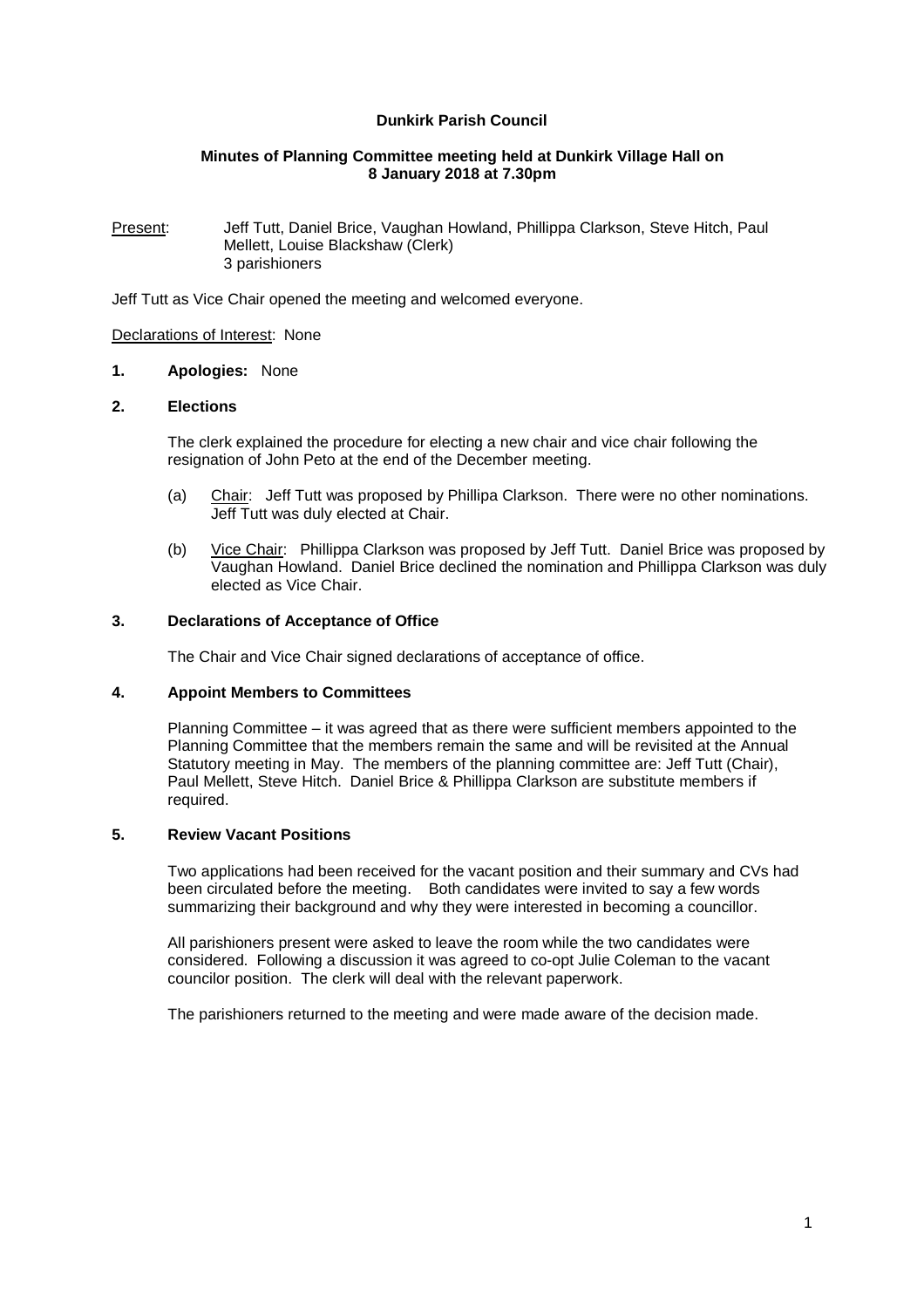# **Dunkirk Parish Council**

## **Minutes of Planning Committee meeting held at Dunkirk Village Hall on 8 January 2018 at 7.30pm**

Present: Jeff Tutt, Daniel Brice, Vaughan Howland, Phillippa Clarkson, Steve Hitch, Paul Mellett, Louise Blackshaw (Clerk) 3 parishioners

Jeff Tutt as Vice Chair opened the meeting and welcomed everyone.

### Declarations of Interest: None

### **1. Apologies:** None

### **2. Elections**

The clerk explained the procedure for electing a new chair and vice chair following the resignation of John Peto at the end of the December meeting.

- (a) Chair: Jeff Tutt was proposed by Phillipa Clarkson. There were no other nominations. Jeff Tutt was duly elected at Chair.
- (b) Vice Chair: Phillippa Clarkson was proposed by Jeff Tutt. Daniel Brice was proposed by Vaughan Howland. Daniel Brice declined the nomination and Phillippa Clarkson was duly elected as Vice Chair.

### **3. Declarations of Acceptance of Office**

The Chair and Vice Chair signed declarations of acceptance of office.

## **4. Appoint Members to Committees**

Planning Committee – it was agreed that as there were sufficient members appointed to the Planning Committee that the members remain the same and will be revisited at the Annual Statutory meeting in May. The members of the planning committee are: Jeff Tutt (Chair), Paul Mellett, Steve Hitch. Daniel Brice & Phillippa Clarkson are substitute members if required.

### **5. Review Vacant Positions**

Two applications had been received for the vacant position and their summary and CVs had been circulated before the meeting. Both candidates were invited to say a few words summarizing their background and why they were interested in becoming a councillor.

All parishioners present were asked to leave the room while the two candidates were considered. Following a discussion it was agreed to co-opt Julie Coleman to the vacant councilor position. The clerk will deal with the relevant paperwork.

The parishioners returned to the meeting and were made aware of the decision made.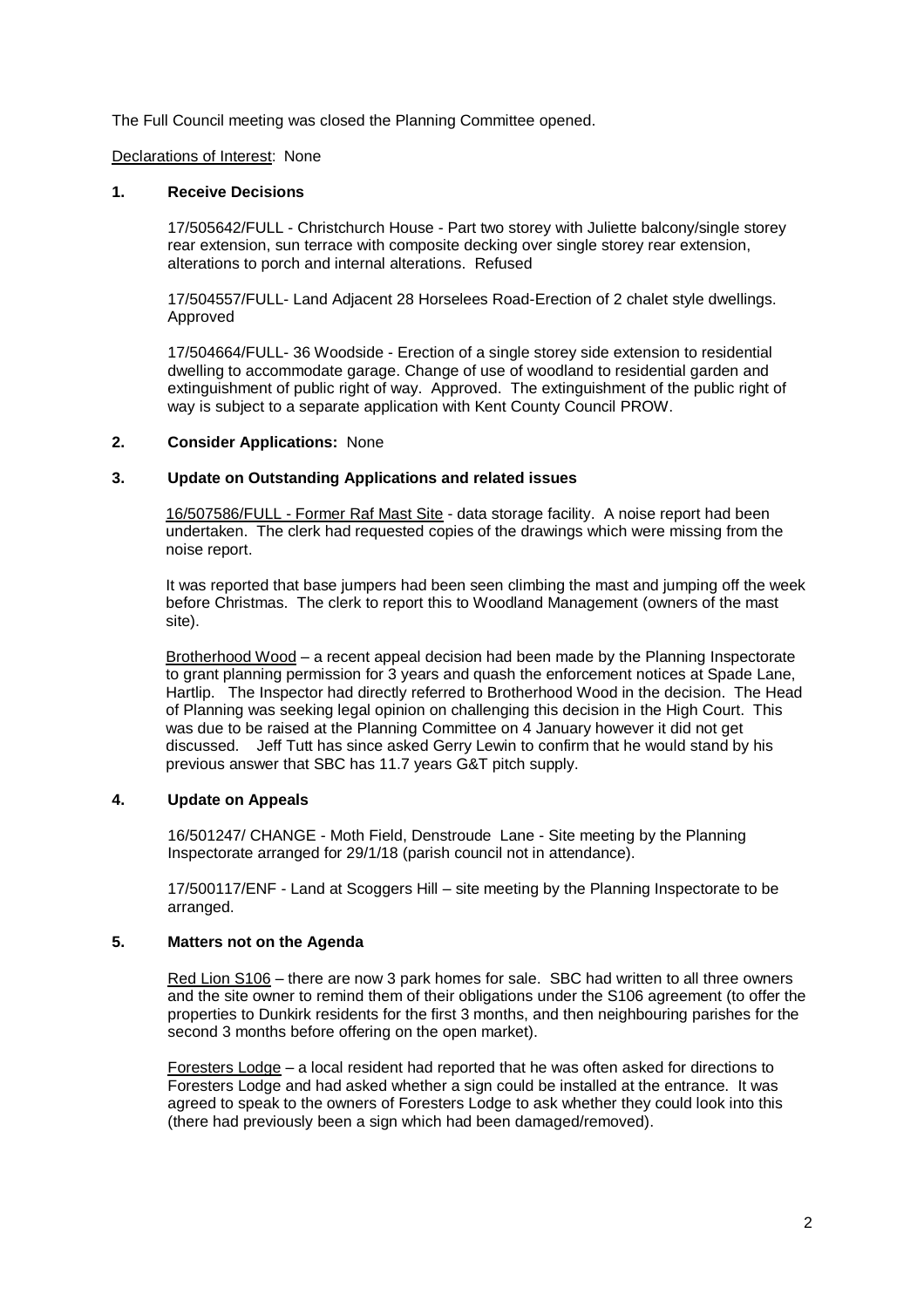The Full Council meeting was closed the Planning Committee opened.

#### Declarations of Interest: None

#### **1. Receive Decisions**

17/505642/FULL - Christchurch House - Part two storey with Juliette balcony/single storey rear extension, sun terrace with composite decking over single storey rear extension, alterations to porch and internal alterations. Refused

17/504557/FULL- Land Adjacent 28 Horselees Road-Erection of 2 chalet style dwellings. Approved

17/504664/FULL- 36 Woodside - Erection of a single storey side extension to residential dwelling to accommodate garage. Change of use of woodland to residential garden and extinguishment of public right of way. Approved. The extinguishment of the public right of way is subject to a separate application with Kent County Council PROW.

### **2. Consider Applications:** None

## **3. Update on Outstanding Applications and related issues**

16/507586/FULL - Former Raf Mast Site - data storage facility. A noise report had been undertaken. The clerk had requested copies of the drawings which were missing from the noise report.

It was reported that base jumpers had been seen climbing the mast and jumping off the week before Christmas. The clerk to report this to Woodland Management (owners of the mast site).

Brotherhood Wood – a recent appeal decision had been made by the Planning Inspectorate to grant planning permission for 3 years and quash the enforcement notices at Spade Lane, Hartlip. The Inspector had directly referred to Brotherhood Wood in the decision. The Head of Planning was seeking legal opinion on challenging this decision in the High Court. This was due to be raised at the Planning Committee on 4 January however it did not get discussed. Jeff Tutt has since asked Gerry Lewin to confirm that he would stand by his previous answer that SBC has 11.7 years G&T pitch supply.

# **4. Update on Appeals**

16/501247/ CHANGE - Moth Field, Denstroude Lane - Site meeting by the Planning Inspectorate arranged for 29/1/18 (parish council not in attendance).

17/500117/ENF - Land at Scoggers Hill – site meeting by the Planning Inspectorate to be arranged.

## **5. Matters not on the Agenda**

Red Lion S106 – there are now 3 park homes for sale. SBC had written to all three owners and the site owner to remind them of their obligations under the S106 agreement (to offer the properties to Dunkirk residents for the first 3 months, and then neighbouring parishes for the second 3 months before offering on the open market).

Foresters Lodge – a local resident had reported that he was often asked for directions to Foresters Lodge and had asked whether a sign could be installed at the entrance. It was agreed to speak to the owners of Foresters Lodge to ask whether they could look into this (there had previously been a sign which had been damaged/removed).